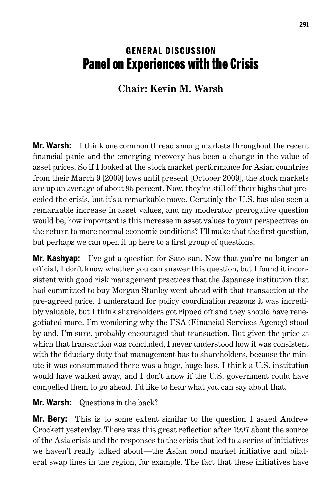## **GENERAL DISCUSSION** Panel on Experiences with the Crisis

## **Chair: Kevin M. Warsh**

**Mr. Warsh:** I think one common thread among markets throughout the recent financial panic and the emerging recovery has been a change in the value of asset prices. So if I looked at the stock market performance for Asian countries from their March 9 [2009] lows until present [October 2009], the stock markets are up an average of about 95 percent. Now, they're still off their highs that preceded the crisis, but it's a remarkable move. Certainly the U.S. has also seen a remarkable increase in asset values, and my moderator prerogative question would be, how important is this increase in asset values to your perspectives on the return to more normal economic conditions? I'll make that the first question, but perhaps we can open it up here to a first group of questions.

**Mr. Kashyap:** I've got a question for Sato-san. Now that you're no longer an official, I don't know whether you can answer this question, but I found it inconsistent with good risk management practices that the Japanese institution that had committed to buy Morgan Stanley went ahead with that transaction at the pre-agreed price. I understand for policy coordination reasons it was incredibly valuable, but I think shareholders got ripped off and they should have renegotiated more. I'm wondering why the FSA (Financial Services Agency) stood by and, I'm sure, probably encouraged that transaction. But given the price at which that transaction was concluded, I never understood how it was consistent with the fiduciary duty that management has to shareholders, because the minute it was consummated there was a huge, huge loss. I think a U.S. institution would have walked away, and I don't know if the U.S. government could have compelled them to go ahead. I'd like to hear what you can say about that.

## **Mr. Warsh:** Questions in the back?

**Mr. Bery:** This is to some extent similar to the question I asked Andrew Crockett yesterday. There was this great reflection after 1997 about the source of the Asia crisis and the responses to the crisis that led to a series of initiatives we haven't really talked about—the Asian bond market initiative and bilateral swap lines in the region, for example. The fact that these initiatives have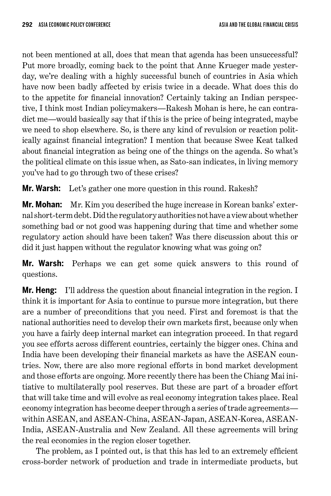not been mentioned at all, does that mean that agenda has been unsuccessful? Put more broadly, coming back to the point that Anne Krueger made yesterday, we're dealing with a highly successful bunch of countries in Asia which have now been badly affected by crisis twice in a decade. What does this do to the appetite for financial innovation? Certainly taking an Indian perspective, I think most Indian policymakers—Rakesh Mohan is here, he can contradict me—would basically say that if this is the price of being integrated, maybe we need to shop elsewhere. So, is there any kind of revulsion or reaction politically against financial integration? I mention that because Swee Keat talked about financial integration as being one of the things on the agenda. So what's the political climate on this issue when, as Sato-san indicates, in living memory you've had to go through two of these crises?

**Mr. Warsh:** Let's gather one more question in this round. Rakesh?

**Mr. Mohan:** Mr. Kim you described the huge increase in Korean banks' external short-term debt. Did the regulatory authorities not have a view about whether something bad or not good was happening during that time and whether some regulatory action should have been taken? Was there discussion about this or did it just happen without the regulator knowing what was going on?

**Mr. Warsh:** Perhaps we can get some quick answers to this round of questions.

**Mr. Heng:** I'll address the question about financial integration in the region. I think it is important for Asia to continue to pursue more integration, but there are a number of preconditions that you need. First and foremost is that the national authorities need to develop their own markets first, because only when you have a fairly deep internal market can integration proceed. In that regard you see efforts across different countries, certainly the bigger ones. China and India have been developing their financial markets as have the ASEAN countries. Now, there are also more regional efforts in bond market development and those efforts are ongoing. More recently there has been the Chiang Mai initiative to multilaterally pool reserves. But these are part of a broader effort that will take time and will evolve as real economy integration takes place. Real economy integration has become deeper through a series of trade agreements within ASEAN, and ASEAN-China, ASEAN-Japan, ASEAN-Korea, ASEAN-India, ASEAN-Australia and New Zealand. All these agreements will bring the real economies in the region closer together.

The problem, as I pointed out, is that this has led to an extremely efficient cross-border network of production and trade in intermediate products, but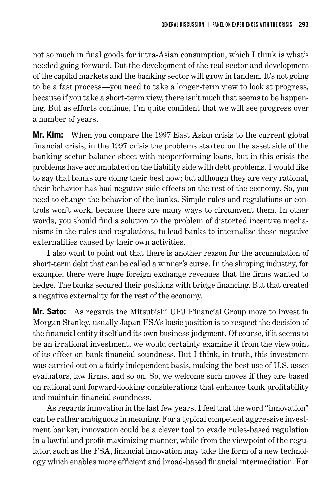not so much in final goods for intra-Asian consumption, which I think is what's needed going forward. But the development of the real sector and development of the capital markets and the banking sector will grow in tandem. It's not going to be a fast process—you need to take a longer-term view to look at progress, because if you take a short-term view, there isn't much that seems to be happening. But as efforts continue, I'm quite confident that we will see progress over a number of years.

**Mr. Kim:** When you compare the 1997 East Asian crisis to the current global financial crisis, in the 1997 crisis the problems started on the asset side of the banking sector balance sheet with nonperforming loans, but in this crisis the problems have accumulated on the liability side with debt problems. I would like to say that banks are doing their best now; but although they are very rational, their behavior has had negative side effects on the rest of the economy. So, you need to change the behavior of the banks. Simple rules and regulations or controls won't work, because there are many ways to circumvent them. In other words, you should find a solution to the problem of distorted incentive mechanisms in the rules and regulations, to lead banks to internalize these negative externalities caused by their own activities.

I also want to point out that there is another reason for the accumulation of short-term debt that can be called a winner's curse. In the shipping industry, for example, there were huge foreign exchange revenues that the firms wanted to hedge. The banks secured their positions with bridge financing. But that created a negative externality for the rest of the economy.

**Mr. Sato:** As regards the Mitsubishi UFJ Financial Group move to invest in Morgan Stanley, usually Japan FSA's basic position is to respect the decision of the financial entity itself and its own business judgment. Of course, if it seems to be an irrational investment, we would certainly examine it from the viewpoint of its effect on bank financial soundness. But I think, in truth, this investment was carried out on a fairly independent basis, making the best use of U.S. asset evaluators, law firms, and so on. So, we welcome such moves if they are based on rational and forward-looking considerations that enhance bank profitability and maintain financial soundness.

As regards innovation in the last few years, I feel that the word "innovation" can be rather ambiguous in meaning. For a typical competent aggressive investment banker, innovation could be a clever tool to evade rules-based regulation in a lawful and profit maximizing manner, while from the viewpoint of the regulator, such as the FSA, financial innovation may take the form of a new technology which enables more efficient and broad-based financial intermediation. For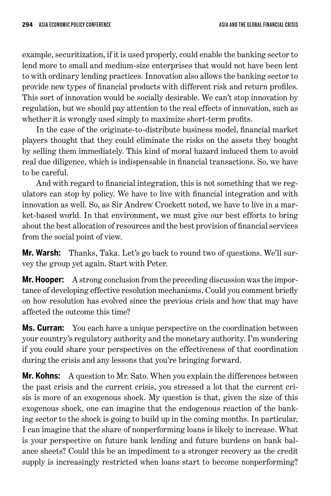example, securitization, if it is used properly, could enable the banking sector to lend more to small and medium-size enterprises that would not have been lent to with ordinary lending practices. Innovation also allows the banking sector to provide new types of financial products with different risk and return profiles. This sort of innovation would be socially desirable. We can't stop innovation by regulation, but we should pay attention to the real effects of innovation, such as whether it is wrongly used simply to maximize short-term profits.

In the case of the originate-to-distribute business model, financial market players thought that they could eliminate the risks on the assets they bought by selling them immediately. This kind of moral hazard induced them to avoid real due diligence, which is indispensable in financial transactions. So, we have to be careful.

And with regard to financial integration, this is not something that we regulators can stop by policy. We have to live with financial integration and with innovation as well. So, as Sir Andrew Crockett noted, we have to live in a market-based world. In that environment, we must give our best efforts to bring about the best allocation of resources and the best provision of financial services from the social point of view.

**Mr. Warsh:** Thanks, Taka. Let's go back to round two of questions. We'll survey the group yet again. Start with Peter.

**Mr. Hooper:** A strong conclusion from the preceding discussion was the importance of developing effective resolution mechanisms. Could you comment briefly on how resolution has evolved since the previous crisis and how that may have affected the outcome this time?

**Ms. Curran:** You each have a unique perspective on the coordination between your country's regulatory authority and the monetary authority. I'm wondering if you could share your perspectives on the effectiveness of that coordination during the crisis and any lessons that you're bringing forward.

**Mr. Kohns:** A question to Mr. Sato. When you explain the differences between the past crisis and the current crisis, you stressed a lot that the current crisis is more of an exogenous shock. My question is that, given the size of this exogenous shock, one can imagine that the endogenous reaction of the banking sector to the shock is going to build up in the coming months. In particular, I can imagine that the share of nonperforming loans is likely to increase. What is your perspective on future bank lending and future burdens on bank balance sheets? Could this be an impediment to a stronger recovery as the credit supply is increasingly restricted when loans start to become nonperforming?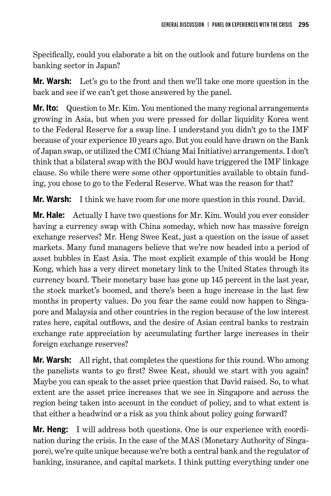Specifically, could you elaborate a bit on the outlook and future burdens on the banking sector in Japan?

**Mr. Warsh:** Let's go to the front and then we'll take one more question in the back and see if we can't get those answered by the panel.

**Mr. Ito:** Question to Mr. Kim. You mentioned the many regional arrangements growing in Asia, but when you were pressed for dollar liquidity Korea went to the Federal Reserve for a swap line. I understand you didn't go to the IMF because of your experience 10 years ago. But you could have drawn on the Bank of Japan swap, or utilized the CMI (Chiang Mai Initiative) arrangements. I don't think that a bilateral swap with the BOJ would have triggered the IMF linkage clause. So while there were some other opportunities available to obtain funding, you chose to go to the Federal Reserve. What was the reason for that?

**Mr. Warsh:** I think we have room for one more question in this round. David.

**Mr. Hale:** Actually I have two questions for Mr. Kim. Would you ever consider having a currency swap with China someday, which now has massive foreign exchange reserves? Mr. Heng Swee Keat, just a question on the issue of asset markets. Many fund managers believe that we're now headed into a period of asset bubbles in East Asia. The most explicit example of this would be Hong Kong, which has a very direct monetary link to the United States through its currency board. Their monetary base has gone up 145 percent in the last year, the stock market's boomed, and there's been a huge increase in the last few months in property values. Do you fear the same could now happen to Singapore and Malaysia and other countries in the region because of the low interest rates here, capital outflows, and the desire of Asian central banks to restrain exchange rate appreciation by accumulating further large increases in their foreign exchange reserves?

**Mr. Warsh:** All right, that completes the questions for this round. Who among the panelists wants to go first? Swee Keat, should we start with you again? Maybe you can speak to the asset price question that David raised. So, to what extent are the asset price increases that we see in Singapore and across the region being taken into account in the conduct of policy, and to what extent is that either a headwind or a risk as you think about policy going forward?

**Mr. Heng:** I will address both questions. One is our experience with coordination during the crisis. In the case of the MAS (Monetary Authority of Singapore), we're quite unique because we're both a central bank and the regulator of banking, insurance, and capital markets. I think putting everything under one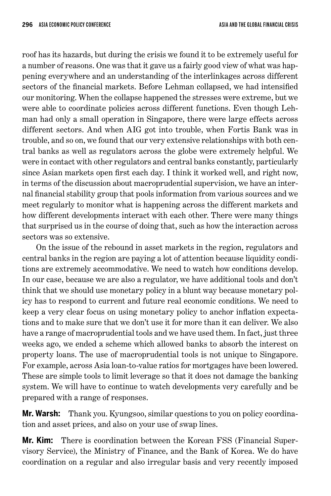roof has its hazards, but during the crisis we found it to be extremely useful for a number of reasons. One was that it gave us a fairly good view of what was happening everywhere and an understanding of the interlinkages across different sectors of the financial markets. Before Lehman collapsed, we had intensified our monitoring. When the collapse happened the stresses were extreme, but we were able to coordinate policies across different functions. Even though Lehman had only a small operation in Singapore, there were large effects across different sectors. And when AIG got into trouble, when Fortis Bank was in trouble, and so on, we found that our very extensive relationships with both central banks as well as regulators across the globe were extremely helpful. We were in contact with other regulators and central banks constantly, particularly since Asian markets open first each day. I think it worked well, and right now, in terms of the discussion about macroprudential supervision, we have an internal financial stability group that pools information from various sources and we meet regularly to monitor what is happening across the different markets and how different developments interact with each other. There were many things that surprised us in the course of doing that, such as how the interaction across sectors was so extensive.

On the issue of the rebound in asset markets in the region, regulators and central banks in the region are paying a lot of attention because liquidity conditions are extremely accommodative. We need to watch how conditions develop. In our case, because we are also a regulator, we have additional tools and don't think that we should use monetary policy in a blunt way because monetary policy has to respond to current and future real economic conditions. We need to keep a very clear focus on using monetary policy to anchor inflation expectations and to make sure that we don't use it for more than it can deliver. We also have a range of macroprudential tools and we have used them. In fact, just three weeks ago, we ended a scheme which allowed banks to absorb the interest on property loans. The use of macroprudential tools is not unique to Singapore. For example, across Asia loan-to-value ratios for mortgages have been lowered. These are simple tools to limit leverage so that it does not damage the banking system. We will have to continue to watch developments very carefully and be prepared with a range of responses.

**Mr. Warsh:** Thank you. Kyungsoo, similar questions to you on policy coordination and asset prices, and also on your use of swap lines.

**Mr. Kim:** There is coordination between the Korean FSS (Financial Supervisory Service), the Ministry of Finance, and the Bank of Korea. We do have coordination on a regular and also irregular basis and very recently imposed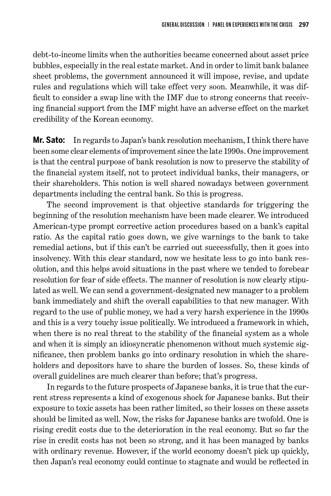debt-to-income limits when the authorities became concerned about asset price bubbles, especially in the real estate market. And in order to limit bank balance sheet problems, the government announced it will impose, revise, and update rules and regulations which will take effect very soon. Meanwhile, it was difficult to consider a swap line with the IMF due to strong concerns that receiving financial support from the IMF might have an adverse effect on the market credibility of the Korean economy.

**Mr. Sato:** In regards to Japan's bank resolution mechanism, I think there have been some clear elements of improvement since the late 1990s. One improvement is that the central purpose of bank resolution is now to preserve the stability of the financial system itself, not to protect individual banks, their managers, or their shareholders. This notion is well shared nowadays between government departments including the central bank. So this is progress.

The second improvement is that objective standards for triggering the beginning of the resolution mechanism have been made clearer. We introduced American-type prompt corrective action procedures based on a bank's capital ratio. As the capital ratio goes down, we give warnings to the bank to take remedial actions, but if this can't be carried out successfully, then it goes into insolvency. With this clear standard, now we hesitate less to go into bank resolution, and this helps avoid situations in the past where we tended to forebear resolution for fear of side effects. The manner of resolution is now clearly stipulated as well. We can send a government-designated new manager to a problem bank immediately and shift the overall capabilities to that new manager. With regard to the use of public money, we had a very harsh experience in the 1990s and this is a very touchy issue politically. We introduced a framework in which, when there is no real threat to the stability of the financial system as a whole and when it is simply an idiosyncratic phenomenon without much systemic significance, then problem banks go into ordinary resolution in which the shareholders and depositors have to share the burden of losses. So, these kinds of overall guidelines are much clearer than before; that's progress.

In regards to the future prospects of Japanese banks, it is true that the current stress represents a kind of exogenous shock for Japanese banks. But their exposure to toxic assets has been rather limited, so their losses on these assets should be limited as well. Now, the risks for Japanese banks are twofold. One is rising credit costs due to the deterioration in the real economy. But so far the rise in credit costs has not been so strong, and it has been managed by banks with ordinary revenue. However, if the world economy doesn't pick up quickly, then Japan's real economy could continue to stagnate and would be reflected in